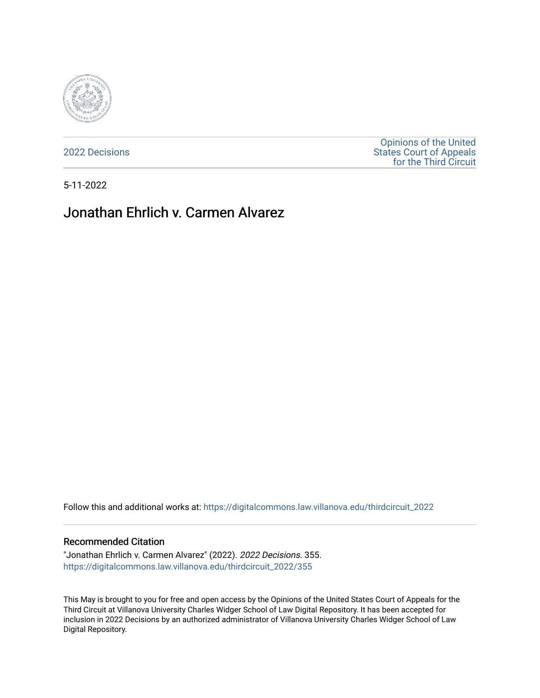

[2022 Decisions](https://digitalcommons.law.villanova.edu/thirdcircuit_2022)

[Opinions of the United](https://digitalcommons.law.villanova.edu/thirdcircuit)  [States Court of Appeals](https://digitalcommons.law.villanova.edu/thirdcircuit)  [for the Third Circuit](https://digitalcommons.law.villanova.edu/thirdcircuit) 

5-11-2022

# Jonathan Ehrlich v. Carmen Alvarez

Follow this and additional works at: [https://digitalcommons.law.villanova.edu/thirdcircuit\\_2022](https://digitalcommons.law.villanova.edu/thirdcircuit_2022?utm_source=digitalcommons.law.villanova.edu%2Fthirdcircuit_2022%2F355&utm_medium=PDF&utm_campaign=PDFCoverPages) 

#### Recommended Citation

"Jonathan Ehrlich v. Carmen Alvarez" (2022). 2022 Decisions. 355. [https://digitalcommons.law.villanova.edu/thirdcircuit\\_2022/355](https://digitalcommons.law.villanova.edu/thirdcircuit_2022/355?utm_source=digitalcommons.law.villanova.edu%2Fthirdcircuit_2022%2F355&utm_medium=PDF&utm_campaign=PDFCoverPages)

This May is brought to you for free and open access by the Opinions of the United States Court of Appeals for the Third Circuit at Villanova University Charles Widger School of Law Digital Repository. It has been accepted for inclusion in 2022 Decisions by an authorized administrator of Villanova University Charles Widger School of Law Digital Repository.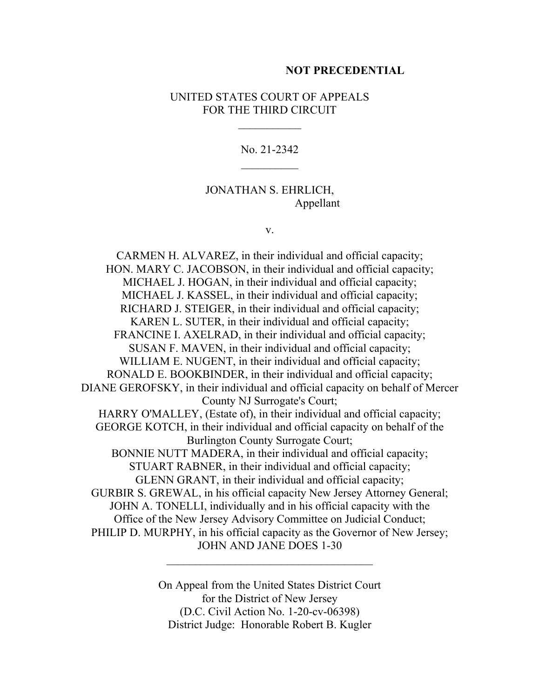#### **NOT PRECEDENTIAL**

### UNITED STATES COURT OF APPEALS FOR THE THIRD CIRCUIT

No. 21-2342

## JONATHAN S. EHRLICH, Appellant

v.

CARMEN H. ALVAREZ, in their individual and official capacity; HON. MARY C. JACOBSON, in their individual and official capacity; MICHAEL J. HOGAN, in their individual and official capacity; MICHAEL J. KASSEL, in their individual and official capacity; RICHARD J. STEIGER, in their individual and official capacity; KAREN L. SUTER, in their individual and official capacity; FRANCINE I. AXELRAD, in their individual and official capacity; SUSAN F. MAVEN, in their individual and official capacity; WILLIAM E. NUGENT, in their individual and official capacity; RONALD E. BOOKBINDER, in their individual and official capacity; DIANE GEROFSKY, in their individual and official capacity on behalf of Mercer County NJ Surrogate's Court; HARRY O'MALLEY, (Estate of), in their individual and official capacity; GEORGE KOTCH, in their individual and official capacity on behalf of the Burlington County Surrogate Court; BONNIE NUTT MADERA, in their individual and official capacity; STUART RABNER, in their individual and official capacity; GLENN GRANT, in their individual and official capacity; GURBIR S. GREWAL, in his official capacity New Jersey Attorney General; JOHN A. TONELLI, individually and in his official capacity with the Office of the New Jersey Advisory Committee on Judicial Conduct; PHILIP D. MURPHY, in his official capacity as the Governor of New Jersey; JOHN AND JANE DOES 1-30

> On Appeal from the United States District Court for the District of New Jersey (D.C. Civil Action No. 1-20-cv-06398) District Judge: Honorable Robert B. Kugler

 $\mathcal{L}_\text{max}$  , where  $\mathcal{L}_\text{max}$  is the set of  $\mathcal{L}_\text{max}$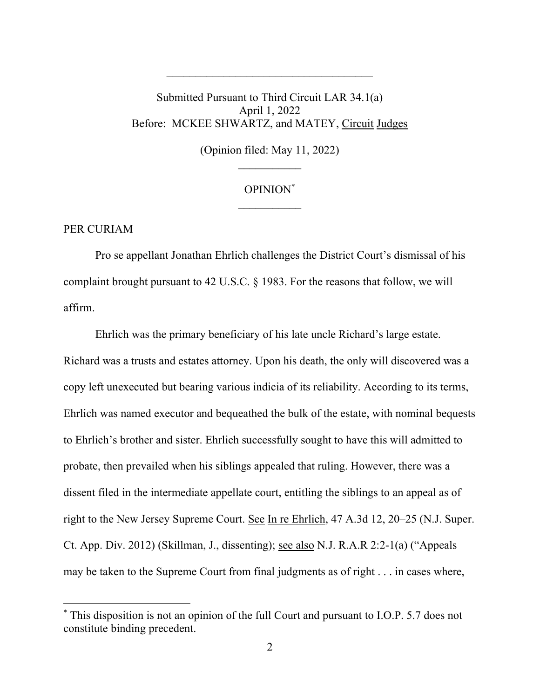# Submitted Pursuant to Third Circuit LAR 34.1(a) April 1, 2022 Before: MCKEE SHWARTZ, and MATEY, Circuit Judges

 $\mathcal{L}_\text{max}$ 

(Opinion filed: May 11, 2022)

## OPINION\*  $\frac{1}{2}$

#### PER CURIAM

Pro se appellant Jonathan Ehrlich challenges the District Court's dismissal of his complaint brought pursuant to 42 U.S.C. § 1983. For the reasons that follow, we will affirm.

Ehrlich was the primary beneficiary of his late uncle Richard's large estate. Richard was a trusts and estates attorney. Upon his death, the only will discovered was a copy left unexecuted but bearing various indicia of its reliability. According to its terms, Ehrlich was named executor and bequeathed the bulk of the estate, with nominal bequests to Ehrlich's brother and sister. Ehrlich successfully sought to have this will admitted to probate, then prevailed when his siblings appealed that ruling. However, there was a dissent filed in the intermediate appellate court, entitling the siblings to an appeal as of right to the New Jersey Supreme Court. See In re Ehrlich, 47 A.3d 12, 20–25 (N.J. Super. Ct. App. Div. 2012) (Skillman, J., dissenting); see also N.J. R.A.R 2:2-1(a) ("Appeals may be taken to the Supreme Court from final judgments as of right . . . in cases where,

<sup>\*</sup> This disposition is not an opinion of the full Court and pursuant to I.O.P. 5.7 does not constitute binding precedent.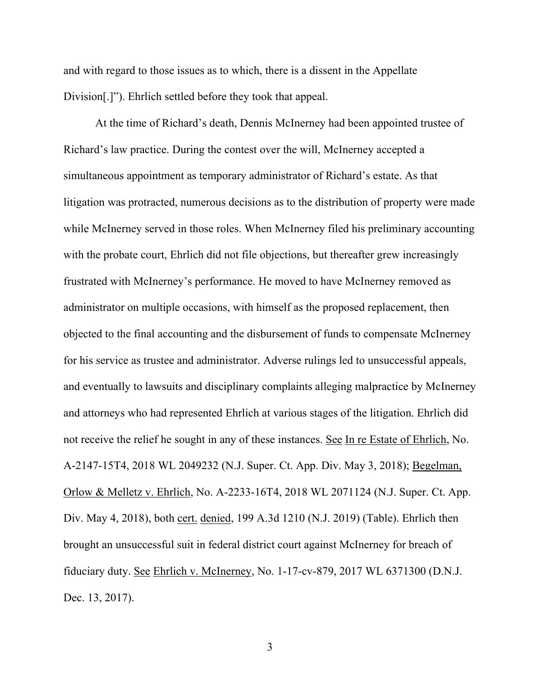and with regard to those issues as to which, there is a dissent in the Appellate Division[.]"). Ehrlich settled before they took that appeal.

At the time of Richard's death, Dennis McInerney had been appointed trustee of Richard's law practice. During the contest over the will, McInerney accepted a simultaneous appointment as temporary administrator of Richard's estate. As that litigation was protracted, numerous decisions as to the distribution of property were made while McInerney served in those roles. When McInerney filed his preliminary accounting with the probate court, Ehrlich did not file objections, but thereafter grew increasingly frustrated with McInerney's performance. He moved to have McInerney removed as administrator on multiple occasions, with himself as the proposed replacement, then objected to the final accounting and the disbursement of funds to compensate McInerney for his service as trustee and administrator. Adverse rulings led to unsuccessful appeals, and eventually to lawsuits and disciplinary complaints alleging malpractice by McInerney and attorneys who had represented Ehrlich at various stages of the litigation. Ehrlich did not receive the relief he sought in any of these instances. See In re Estate of Ehrlich, No. A-2147-15T4, 2018 WL 2049232 (N.J. Super. Ct. App. Div. May 3, 2018); Begelman, Orlow & Melletz v. Ehrlich, No. A-2233-16T4, 2018 WL 2071124 (N.J. Super. Ct. App. Div. May 4, 2018), both cert. denied, 199 A.3d 1210 (N.J. 2019) (Table). Ehrlich then brought an unsuccessful suit in federal district court against McInerney for breach of fiduciary duty. See Ehrlich v. McInerney, No. 1-17-cv-879, 2017 WL 6371300 (D.N.J. Dec. 13, 2017).

3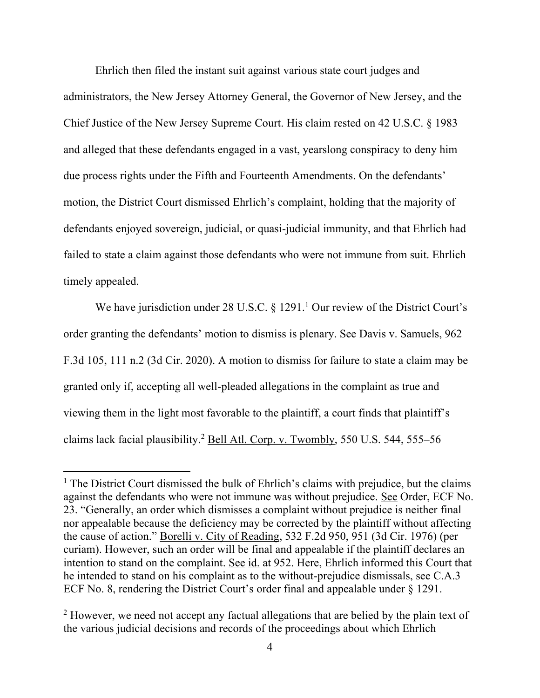Ehrlich then filed the instant suit against various state court judges and administrators, the New Jersey Attorney General, the Governor of New Jersey, and the Chief Justice of the New Jersey Supreme Court. His claim rested on 42 U.S.C. § 1983 and alleged that these defendants engaged in a vast, yearslong conspiracy to deny him due process rights under the Fifth and Fourteenth Amendments. On the defendants' motion, the District Court dismissed Ehrlich's complaint, holding that the majority of defendants enjoyed sovereign, judicial, or quasi-judicial immunity, and that Ehrlich had failed to state a claim against those defendants who were not immune from suit. Ehrlich timely appealed.

We have jurisdiction under 28 U.S.C.  $\S$  1291.<sup>1</sup> Our review of the District Court's order granting the defendants' motion to dismiss is plenary. See Davis v. Samuels, 962 F.3d 105, 111 n.2 (3d Cir. 2020). A motion to dismiss for failure to state a claim may be granted only if, accepting all well-pleaded allegations in the complaint as true and viewing them in the light most favorable to the plaintiff, a court finds that plaintiff's claims lack facial plausibility.<sup>2</sup> Bell Atl. Corp. v. Twombly, 550 U.S. 544, 555–56

 $<sup>1</sup>$  The District Court dismissed the bulk of Ehrlich's claims with prejudice, but the claims</sup> against the defendants who were not immune was without prejudice. See Order, ECF No. 23. "Generally, an order which dismisses a complaint without prejudice is neither final nor appealable because the deficiency may be corrected by the plaintiff without affecting the cause of action." Borelli v. City of Reading, 532 F.2d 950, 951 (3d Cir. 1976) (per curiam). However, such an order will be final and appealable if the plaintiff declares an intention to stand on the complaint. See id. at 952. Here, Ehrlich informed this Court that he intended to stand on his complaint as to the without-prejudice dismissals, see C.A.3 ECF No. 8, rendering the District Court's order final and appealable under § 1291.

<sup>&</sup>lt;sup>2</sup> However, we need not accept any factual allegations that are belied by the plain text of the various judicial decisions and records of the proceedings about which Ehrlich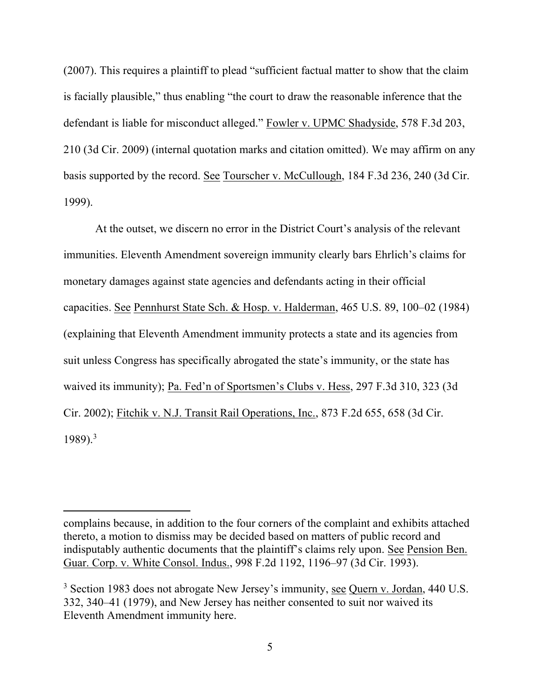(2007). This requires a plaintiff to plead "sufficient factual matter to show that the claim is facially plausible," thus enabling "the court to draw the reasonable inference that the defendant is liable for misconduct alleged." Fowler v. UPMC Shadyside, 578 F.3d 203, 210 (3d Cir. 2009) (internal quotation marks and citation omitted). We may affirm on any basis supported by the record. See Tourscher v. McCullough, 184 F.3d 236, 240 (3d Cir. 1999).

At the outset, we discern no error in the District Court's analysis of the relevant immunities. Eleventh Amendment sovereign immunity clearly bars Ehrlich's claims for monetary damages against state agencies and defendants acting in their official capacities. See Pennhurst State Sch. & Hosp. v. Halderman, 465 U.S. 89, 100–02 (1984) (explaining that Eleventh Amendment immunity protects a state and its agencies from suit unless Congress has specifically abrogated the state's immunity, or the state has waived its immunity); Pa. Fed'n of Sportsmen's Clubs v. Hess, 297 F.3d 310, 323 (3d Cir. 2002); Fitchik v. N.J. Transit Rail Operations, Inc., 873 F.2d 655, 658 (3d Cir.  $1989$ <sup>3</sup>

complains because, in addition to the four corners of the complaint and exhibits attached thereto, a motion to dismiss may be decided based on matters of public record and indisputably authentic documents that the plaintiff's claims rely upon. See Pension Ben. Guar. Corp. v. White Consol. Indus., 998 F.2d 1192, 1196–97 (3d Cir. 1993).

 $3$  Section 1983 does not abrogate New Jersey's immunity, see Quern v. Jordan, 440 U.S. 332, 340–41 (1979), and New Jersey has neither consented to suit nor waived its Eleventh Amendment immunity here.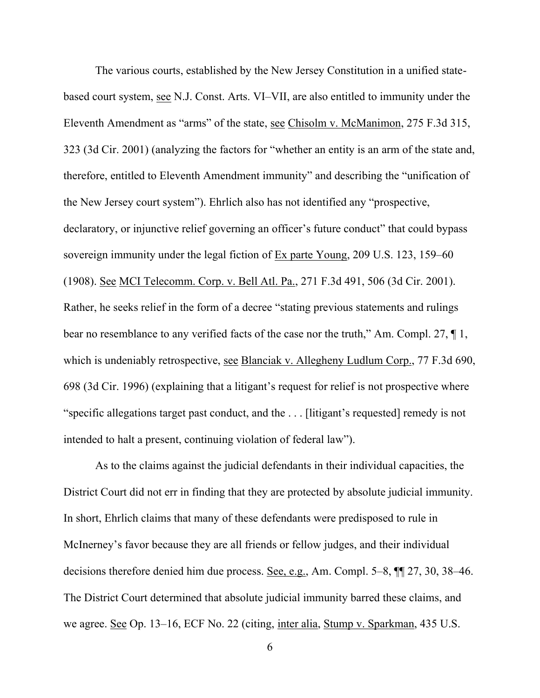The various courts, established by the New Jersey Constitution in a unified statebased court system, see N.J. Const. Arts. VI–VII, are also entitled to immunity under the Eleventh Amendment as "arms" of the state, see Chisolm v. McManimon, 275 F.3d 315, 323 (3d Cir. 2001) (analyzing the factors for "whether an entity is an arm of the state and, therefore, entitled to Eleventh Amendment immunity" and describing the "unification of the New Jersey court system"). Ehrlich also has not identified any "prospective, declaratory, or injunctive relief governing an officer's future conduct" that could bypass sovereign immunity under the legal fiction of Ex parte Young, 209 U.S. 123, 159–60 (1908). See MCI Telecomm. Corp. v. Bell Atl. Pa., 271 F.3d 491, 506 (3d Cir. 2001). Rather, he seeks relief in the form of a decree "stating previous statements and rulings bear no resemblance to any verified facts of the case nor the truth," Am. Compl. 27,  $\P$ 1, which is undeniably retrospective, see Blanciak v. Allegheny Ludlum Corp., 77 F.3d 690, 698 (3d Cir. 1996) (explaining that a litigant's request for relief is not prospective where "specific allegations target past conduct, and the . . . [litigant's requested] remedy is not intended to halt a present, continuing violation of federal law").

As to the claims against the judicial defendants in their individual capacities, the District Court did not err in finding that they are protected by absolute judicial immunity. In short, Ehrlich claims that many of these defendants were predisposed to rule in McInerney's favor because they are all friends or fellow judges, and their individual decisions therefore denied him due process. See, e.g., Am. Compl. 5–8, ¶¶ 27, 30, 38–46. The District Court determined that absolute judicial immunity barred these claims, and we agree. See Op. 13–16, ECF No. 22 (citing, inter alia, Stump v. Sparkman, 435 U.S.

6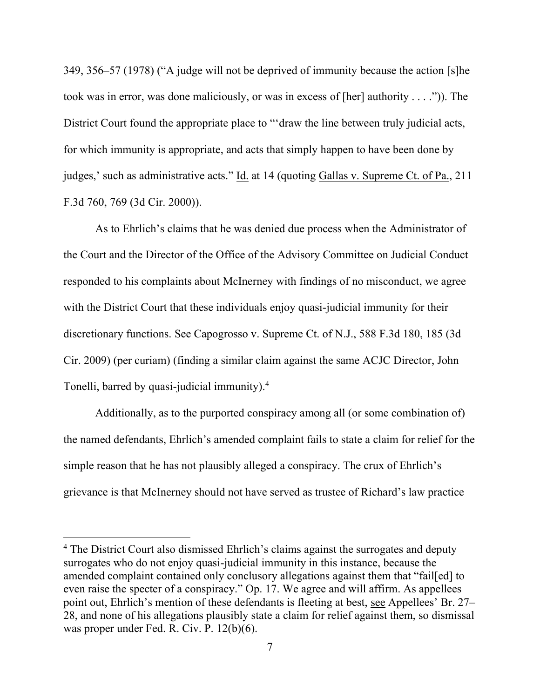349, 356–57 (1978) ("A judge will not be deprived of immunity because the action [s]he took was in error, was done maliciously, or was in excess of [her] authority . . . .")). The District Court found the appropriate place to "'draw the line between truly judicial acts, for which immunity is appropriate, and acts that simply happen to have been done by judges,' such as administrative acts." Id. at 14 (quoting Gallas v. Supreme Ct. of Pa., 211 F.3d 760, 769 (3d Cir. 2000)).

As to Ehrlich's claims that he was denied due process when the Administrator of the Court and the Director of the Office of the Advisory Committee on Judicial Conduct responded to his complaints about McInerney with findings of no misconduct, we agree with the District Court that these individuals enjoy quasi-judicial immunity for their discretionary functions. See Capogrosso v. Supreme Ct. of N.J., 588 F.3d 180, 185 (3d Cir. 2009) (per curiam) (finding a similar claim against the same ACJC Director, John Tonelli, barred by quasi-judicial immunity).<sup>4</sup>

Additionally, as to the purported conspiracy among all (or some combination of) the named defendants, Ehrlich's amended complaint fails to state a claim for relief for the simple reason that he has not plausibly alleged a conspiracy. The crux of Ehrlich's grievance is that McInerney should not have served as trustee of Richard's law practice

<sup>&</sup>lt;sup>4</sup> The District Court also dismissed Ehrlich's claims against the surrogates and deputy surrogates who do not enjoy quasi-judicial immunity in this instance, because the amended complaint contained only conclusory allegations against them that "fail[ed] to even raise the specter of a conspiracy." Op. 17. We agree and will affirm. As appellees point out, Ehrlich's mention of these defendants is fleeting at best, see Appellees' Br. 27– 28, and none of his allegations plausibly state a claim for relief against them, so dismissal was proper under Fed. R. Civ. P. 12(b)(6).